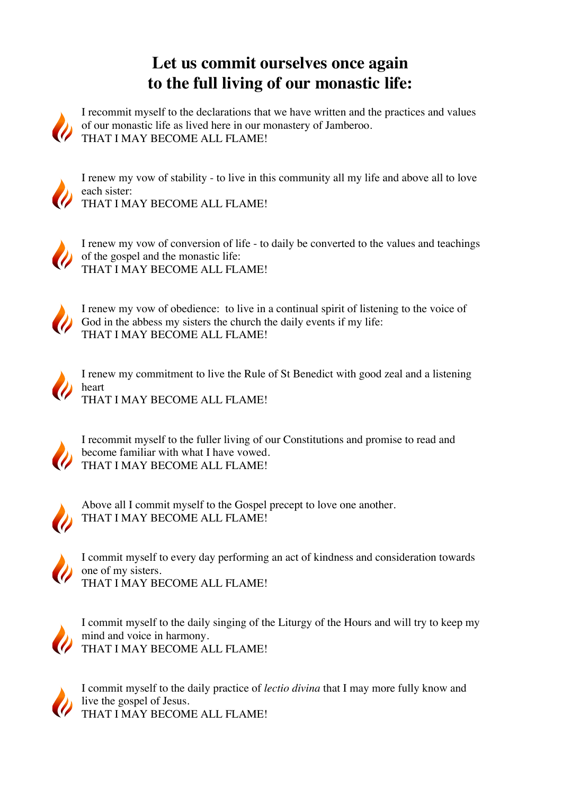## **Let us commit ourselves once again to the full living of our monastic life:**



I recommit myself to the declarations that we have written and the practices and values of our monastic life as lived here in our monastery of Jamberoo. THAT I MAY BECOME ALL FLAME!



I renew my vow of stability - to live in this community all my life and above all to love each sister:

THAT I MAY BECOME ALL FLAME!



I renew my vow of conversion of life - to daily be converted to the values and teachings of the gospel and the monastic life: THAT I MAY BECOME ALL FLAME!



I renew my vow of obedience: to live in a continual spirit of listening to the voice of God in the abbess my sisters the church the daily events if my life: THAT I MAY BECOME ALL FLAME!





I recommit myself to the fuller living of our Constitutions and promise to read and become familiar with what I have vowed. THAT I MAY BECOME ALL FLAME!



Above all I commit myself to the Gospel precept to love one another. THAT I MAY BECOME ALL FLAME!



I commit myself to every day performing an act of kindness and consideration towards one of my sisters. THAT I MAY BECOME ALL FLAME!



I commit myself to the daily singing of the Liturgy of the Hours and will try to keep my mind and voice in harmony. THAT I MAY BECOME ALL FLAME!



I commit myself to the daily practice of *lectio divina* that I may more fully know and live the gospel of Jesus. THAT I MAY BECOME ALL FLAME!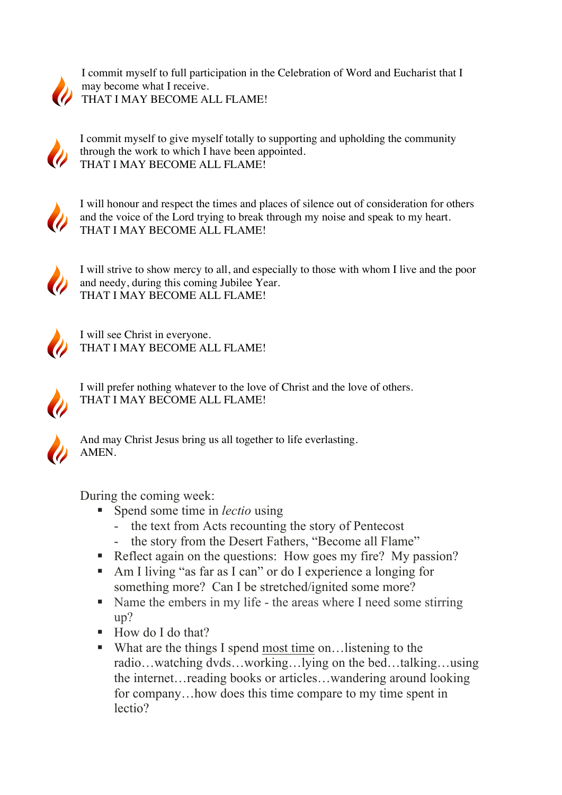

I commit myself to full participation in the Celebration of Word and Eucharist that I may become what I receive. THAT I MAY BECOME ALL FLAME!



I commit myself to give myself totally to supporting and upholding the community through the work to which I have been appointed. THAT I MAY BECOME ALL FLAME!



I will honour and respect the times and places of silence out of consideration for others and the voice of the Lord trying to break through my noise and speak to my heart. THAT I MAY BECOME ALL FLAME!



I will strive to show mercy to all, and especially to those with whom I live and the poor and needy, during this coming Jubilee Year. THAT I MAY BECOME ALL FLAME!



I will see Christ in everyone. THAT I MAY BECOME ALL FLAME!



I will prefer nothing whatever to the love of Christ and the love of others. THAT I MAY BECOME ALL FLAME!



And may Christ Jesus bring us all together to life everlasting. AMEN.

During the coming week:

- Spend some time in *lectio* using
	- the text from Acts recounting the story of Pentecost
	- the story from the Desert Fathers, "Become all Flame"
- Reflect again on the questions: How goes my fire? My passion?
- § Am I living "as far as I can" or do I experience a longing for something more? Can I be stretched/ignited some more?
- Name the embers in my life the areas where I need some stirring up?
- How do I do that?
- What are the things I spend most time on…listening to the radio…watching dvds…working…lying on the bed…talking…using the internet…reading books or articles…wandering around looking for company…how does this time compare to my time spent in lectio?